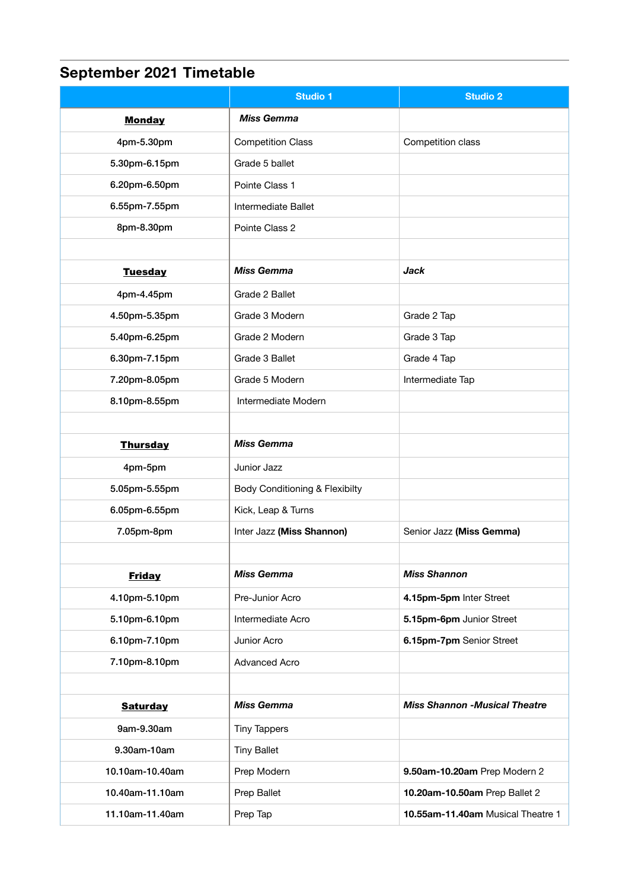## **September 2021 Timetable**

|                 | <b>Studio 1</b>                | <b>Studio 2</b>                      |
|-----------------|--------------------------------|--------------------------------------|
| <b>Monday</b>   | <b>Miss Gemma</b>              |                                      |
| 4pm-5.30pm      | <b>Competition Class</b>       | Competition class                    |
| 5.30pm-6.15pm   | Grade 5 ballet                 |                                      |
| 6.20pm-6.50pm   | Pointe Class 1                 |                                      |
| 6.55pm-7.55pm   | Intermediate Ballet            |                                      |
| 8pm-8.30pm      | Pointe Class 2                 |                                      |
|                 |                                |                                      |
| <b>Tuesday</b>  | <b>Miss Gemma</b>              | <b>Jack</b>                          |
| 4pm-4.45pm      | Grade 2 Ballet                 |                                      |
| 4.50pm-5.35pm   | Grade 3 Modern                 | Grade 2 Tap                          |
| 5.40pm-6.25pm   | Grade 2 Modern                 | Grade 3 Tap                          |
| 6.30pm-7.15pm   | Grade 3 Ballet                 | Grade 4 Tap                          |
| 7.20pm-8.05pm   | Grade 5 Modern                 | Intermediate Tap                     |
| 8.10pm-8.55pm   | Intermediate Modern            |                                      |
|                 |                                |                                      |
| <b>Thursday</b> | <b>Miss Gemma</b>              |                                      |
| 4pm-5pm         | Junior Jazz                    |                                      |
| 5.05pm-5.55pm   | Body Conditioning & Flexibilty |                                      |
| 6.05pm-6.55pm   | Kick, Leap & Turns             |                                      |
| 7.05pm-8pm      | Inter Jazz (Miss Shannon)      | Senior Jazz (Miss Gemma)             |
|                 |                                |                                      |
| <b>Friday</b>   | <b>Miss Gemma</b>              | <b>Miss Shannon</b>                  |
| 4.10pm-5.10pm   | Pre-Junior Acro                | 4.15pm-5pm Inter Street              |
| 5.10pm-6.10pm   | Intermediate Acro              | 5.15pm-6pm Junior Street             |
| 6.10pm-7.10pm   | Junior Acro                    | 6.15pm-7pm Senior Street             |
| 7.10pm-8.10pm   | <b>Advanced Acro</b>           |                                      |
|                 |                                |                                      |
| <b>Saturday</b> | <b>Miss Gemma</b>              | <b>Miss Shannon -Musical Theatre</b> |
| 9am-9.30am      | <b>Tiny Tappers</b>            |                                      |
| 9.30am-10am     | <b>Tiny Ballet</b>             |                                      |
| 10.10am-10.40am | Prep Modern                    | 9.50am-10.20am Prep Modern 2         |
| 10.40am-11.10am | Prep Ballet                    | 10.20am-10.50am Prep Ballet 2        |
| 11.10am-11.40am | Prep Tap                       | 10.55am-11.40am Musical Theatre 1    |